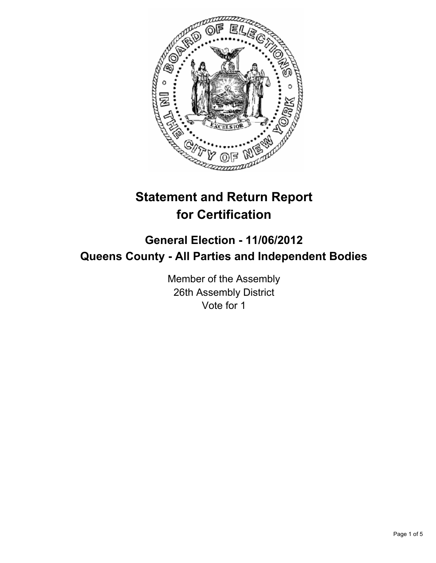

# **Statement and Return Report for Certification**

## **General Election - 11/06/2012 Queens County - All Parties and Independent Bodies**

Member of the Assembly 26th Assembly District Vote for 1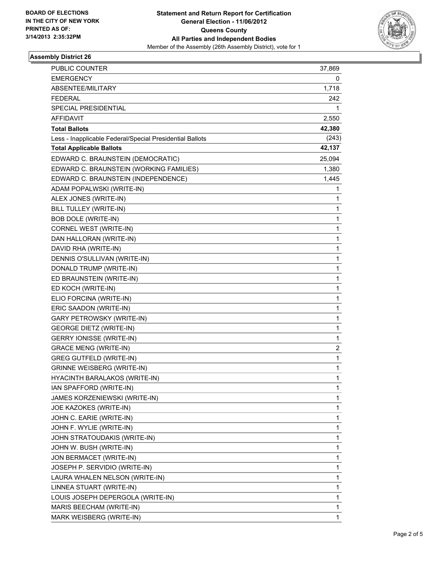

### **Assembly District 26**

| PUBLIC COUNTER                                           | 37,869       |
|----------------------------------------------------------|--------------|
| <b>EMERGENCY</b>                                         | 0            |
| ABSENTEE/MILITARY                                        | 1,718        |
| <b>FEDERAL</b>                                           | 242          |
| SPECIAL PRESIDENTIAL                                     | 1            |
| <b>AFFIDAVIT</b>                                         | 2,550        |
| <b>Total Ballots</b>                                     | 42,380       |
| Less - Inapplicable Federal/Special Presidential Ballots | (243)        |
| <b>Total Applicable Ballots</b>                          | 42,137       |
| EDWARD C. BRAUNSTEIN (DEMOCRATIC)                        | 25,094       |
| EDWARD C. BRAUNSTEIN (WORKING FAMILIES)                  | 1,380        |
| EDWARD C. BRAUNSTEIN (INDEPENDENCE)                      | 1,445        |
| ADAM POPALWSKI (WRITE-IN)                                | 1            |
| ALEX JONES (WRITE-IN)                                    | 1            |
| BILL TULLEY (WRITE-IN)                                   | 1            |
| <b>BOB DOLE (WRITE-IN)</b>                               | 1            |
| CORNEL WEST (WRITE-IN)                                   | 1            |
| DAN HALLORAN (WRITE-IN)                                  | 1            |
| DAVID RHA (WRITE-IN)                                     | 1            |
| DENNIS O'SULLIVAN (WRITE-IN)                             | 1            |
| DONALD TRUMP (WRITE-IN)                                  | 1            |
| ED BRAUNSTEIN (WRITE-IN)                                 | 1            |
| ED KOCH (WRITE-IN)                                       | 1            |
| ELIO FORCINA (WRITE-IN)                                  | 1            |
| ERIC SAADON (WRITE-IN)                                   | 1            |
| GARY PETROWSKY (WRITE-IN)                                | 1            |
| <b>GEORGE DIETZ (WRITE-IN)</b>                           | 1            |
| <b>GERRY IONISSE (WRITE-IN)</b>                          | 1            |
| <b>GRACE MENG (WRITE-IN)</b>                             | 2            |
| <b>GREG GUTFELD (WRITE-IN)</b>                           | 1            |
| <b>GRINNE WEISBERG (WRITE-IN)</b>                        | $\mathbf{1}$ |
| HYACINTH BARALAKOS (WRITE-IN)                            | 1            |
| IAN SPAFFORD (WRITE-IN)                                  | 1            |
| JAMES KORZENIEWSKI (WRITE-IN)                            | 1            |
| JOE KAZOKES (WRITE-IN)                                   | 1            |
| JOHN C. EARIE (WRITE-IN)                                 | 1            |
| JOHN F. WYLIE (WRITE-IN)                                 | 1            |
| JOHN STRATOUDAKIS (WRITE-IN)                             | 1            |
| JOHN W. BUSH (WRITE-IN)                                  | 1            |
| JON BERMACET (WRITE-IN)                                  | 1            |
| JOSEPH P. SERVIDIO (WRITE-IN)                            | 1            |
| LAURA WHALEN NELSON (WRITE-IN)                           | 1            |
| LINNEA STUART (WRITE-IN)                                 | 1            |
| LOUIS JOSEPH DEPERGOLA (WRITE-IN)                        | 1            |
| MARIS BEECHAM (WRITE-IN)                                 | 1            |
| MARK WEISBERG (WRITE-IN)                                 | 1            |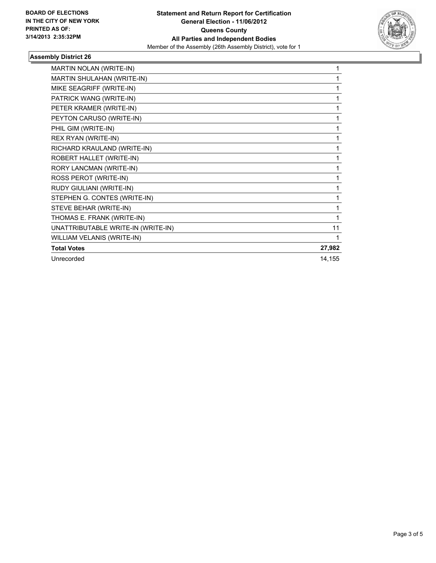

### **Assembly District 26**

| MARTIN NOLAN (WRITE-IN)            | 1      |
|------------------------------------|--------|
| <b>MARTIN SHULAHAN (WRITE-IN)</b>  | 1      |
| MIKE SEAGRIFF (WRITE-IN)           | 1      |
| PATRICK WANG (WRITE-IN)            | 1      |
| PETER KRAMER (WRITE-IN)            | 1      |
| PEYTON CARUSO (WRITE-IN)           | 1      |
| PHIL GIM (WRITE-IN)                | 1      |
| REX RYAN (WRITE-IN)                | 1      |
| RICHARD KRAULAND (WRITE-IN)        | 1      |
| ROBERT HALLET (WRITE-IN)           | 1      |
| RORY LANCMAN (WRITE-IN)            | 1      |
| ROSS PEROT (WRITE-IN)              | 1      |
| RUDY GIULIANI (WRITE-IN)           | 1      |
| STEPHEN G. CONTES (WRITE-IN)       | 1      |
| STEVE BEHAR (WRITE-IN)             | 1      |
| THOMAS E. FRANK (WRITE-IN)         | 1      |
| UNATTRIBUTABLE WRITE-IN (WRITE-IN) | 11     |
| WILLIAM VELANIS (WRITE-IN)         | 1      |
| <b>Total Votes</b>                 | 27,982 |
| Unrecorded                         | 14,155 |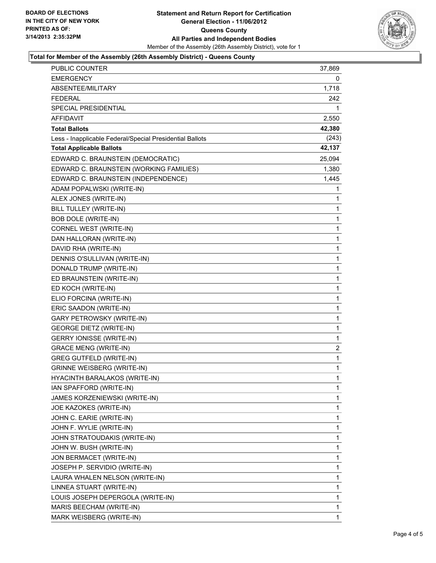

#### **Total for Member of the Assembly (26th Assembly District) - Queens County**

| <b>PUBLIC COUNTER</b>                                    | 37,869      |
|----------------------------------------------------------|-------------|
| <b>EMERGENCY</b>                                         | 0           |
| ABSENTEE/MILITARY                                        | 1,718       |
| <b>FEDERAL</b>                                           | 242         |
| <b>SPECIAL PRESIDENTIAL</b>                              | 1           |
| AFFIDAVIT                                                | 2,550       |
| <b>Total Ballots</b>                                     | 42,380      |
| Less - Inapplicable Federal/Special Presidential Ballots | (243)       |
| <b>Total Applicable Ballots</b>                          | 42,137      |
| EDWARD C. BRAUNSTEIN (DEMOCRATIC)                        | 25,094      |
| EDWARD C. BRAUNSTEIN (WORKING FAMILIES)                  | 1,380       |
| EDWARD C. BRAUNSTEIN (INDEPENDENCE)                      | 1,445       |
| ADAM POPALWSKI (WRITE-IN)                                | 1           |
| ALEX JONES (WRITE-IN)                                    | 1           |
| BILL TULLEY (WRITE-IN)                                   | 1           |
| <b>BOB DOLE (WRITE-IN)</b>                               | 1           |
| CORNEL WEST (WRITE-IN)                                   | 1           |
| DAN HALLORAN (WRITE-IN)                                  | 1           |
| DAVID RHA (WRITE-IN)                                     | 1           |
| DENNIS O'SULLIVAN (WRITE-IN)                             | 1           |
| DONALD TRUMP (WRITE-IN)                                  | 1           |
| ED BRAUNSTEIN (WRITE-IN)                                 | 1           |
| ED KOCH (WRITE-IN)                                       | 1           |
| ELIO FORCINA (WRITE-IN)                                  | 1           |
| ERIC SAADON (WRITE-IN)                                   | 1           |
| <b>GARY PETROWSKY (WRITE-IN)</b>                         | 1           |
| <b>GEORGE DIETZ (WRITE-IN)</b>                           | 1           |
| <b>GERRY IONISSE (WRITE-IN)</b>                          | 1           |
| <b>GRACE MENG (WRITE-IN)</b>                             | 2           |
| <b>GREG GUTFELD (WRITE-IN)</b>                           | $\mathbf 1$ |
| <b>GRINNE WEISBERG (WRITE-IN)</b>                        | 1           |
| HYACINTH BARALAKOS (WRITE-IN)                            | 1           |
| IAN SPAFFORD (WRITE-IN)                                  | 1           |
| JAMES KORZENIEWSKI (WRITE-IN)                            | 1           |
| JOE KAZOKES (WRITE-IN)                                   | 1           |
| JOHN C. EARIE (WRITE-IN)                                 | 1           |
| JOHN F. WYLIE (WRITE-IN)                                 | 1           |
| JOHN STRATOUDAKIS (WRITE-IN)                             | 1           |
| JOHN W. BUSH (WRITE-IN)                                  | 1           |
| JON BERMACET (WRITE-IN)                                  | 1           |
| JOSEPH P. SERVIDIO (WRITE-IN)                            | 1           |
| LAURA WHALEN NELSON (WRITE-IN)                           | 1           |
| LINNEA STUART (WRITE-IN)                                 | 1           |
| LOUIS JOSEPH DEPERGOLA (WRITE-IN)                        | 1           |
| MARIS BEECHAM (WRITE-IN)                                 | 1           |
| MARK WEISBERG (WRITE-IN)                                 | 1           |